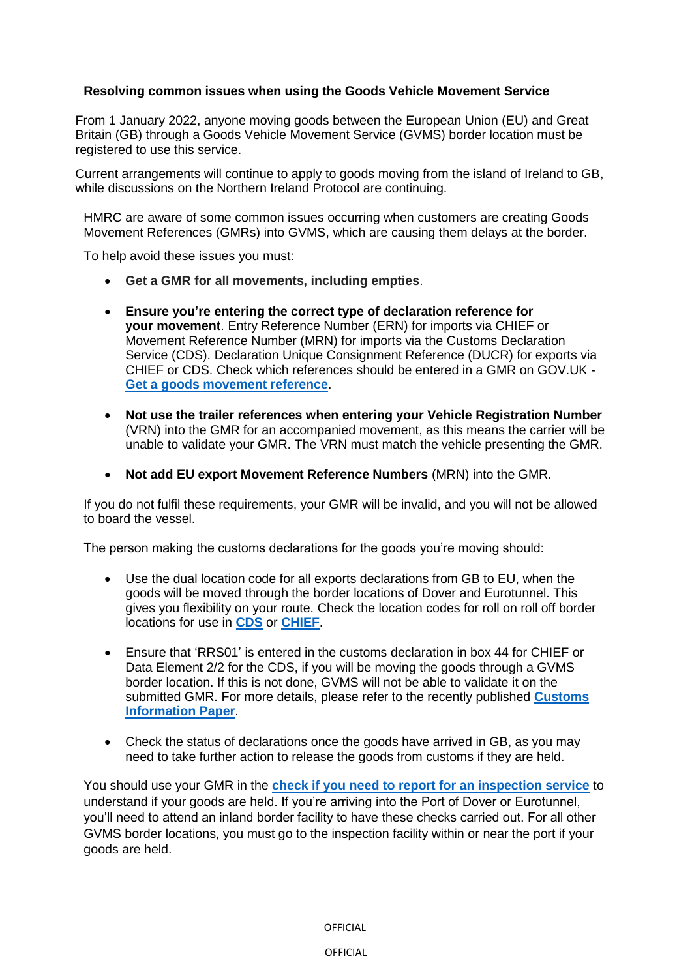## **Resolving common issues when using the Goods Vehicle Movement Service**

From 1 January 2022, anyone moving goods between the European Union (EU) and Great Britain (GB) through a Goods Vehicle Movement Service (GVMS) border location must be registered to use this service.

Current arrangements will continue to apply to goods moving from the island of Ireland to GB, while discussions on the Northern Ireland Protocol are continuing.

HMRC are aware of some common issues occurring when customers are creating Goods Movement References (GMRs) into GVMS, which are causing them delays at the border.

To help avoid these issues you must:

- **Get a GMR for all movements, including empties**.
- **Ensure you're entering the correct type of declaration reference for your movement**. Entry Reference Number (ERN) for imports via CHIEF or Movement Reference Number (MRN) for imports via the Customs Declaration Service (CDS). Declaration Unique Consignment Reference (DUCR) for exports via CHIEF or CDS. Check which references should be entered in a GMR on GOV.UK - **[Get a goods movement reference](https://www.gov.uk/guidance/get-a-goods-movement-reference?&utm_source=haulier30&utm_medium=stk_email&utm_campaign=transition&utm_content=Jan22)**.
- **Not use the trailer references when entering your Vehicle Registration Number** (VRN) into the GMR for an accompanied movement, as this means the carrier will be unable to validate your GMR. The VRN must match the vehicle presenting the GMR.
- **Not add EU export Movement Reference Numbers** (MRN) into the GMR.

If you do not fulfil these requirements, your GMR will be invalid, and you will not be allowed to board the vessel.

The person making the customs declarations for the goods you're moving should:

- Use the dual location code for all exports declarations from GB to EU, when the goods will be moved through the border locations of Dover and Eurotunnel. This gives you flexibility on your route. Check the location codes for roll on roll off border locations for use in **[CDS](https://www.gov.uk/government/publications/roll-on-roll-off-ports-location-codes-for-data-element-523-of-the-customs-declaration-service?&utm_source=haulier30&utm_medium=stk_email&utm_campaign=transition&utm_content=Jan22)** or **[CHIEF](https://www.gov.uk/government/publications/uk-trade-tariff-freight-location-codes?&utm_source=haulier30&utm_medium=stk_email&utm_campaign=transition&utm_content=Jan22)**.
- Ensure that 'RRS01' is entered in the customs declaration in box 44 for CHIEF or Data Element 2/2 for the CDS, if you will be moving the goods through a GVMS border location. If this is not done, GVMS will not be able to validate it on the submitted GMR. For more details, please refer to the recently published **[Customs](https://www.gov.uk/government/publications/goods-leaving-great-britain-from-1-january-2022-at-ports-using-gvms-cip-2/customs-information-paper-2?&utm_source=haulier30&utm_medium=stk_email&utm_campaign=transition&utm_content=Jan22)  [Information Paper](https://www.gov.uk/government/publications/goods-leaving-great-britain-from-1-january-2022-at-ports-using-gvms-cip-2/customs-information-paper-2?&utm_source=haulier30&utm_medium=stk_email&utm_campaign=transition&utm_content=Jan22)**.
- Check the status of declarations once the goods have arrived in GB, as you may need to take further action to release the goods from customs if they are held.

You should use your GMR in the **[check if you need to report for an inspection service](https://www.tax.service.gov.uk/driver-inspection-notification/start?&utm_source=haulier30&utm_medium=stk_email&utm_campaign=transition&utm_content=Jan22)** to understand if your goods are held. If you're arriving into the Port of Dover or Eurotunnel, you'll need to attend an inland border facility to have these checks carried out. For all other GVMS border locations, you must go to the inspection facility within or near the port if your goods are held.

OFFICIAL

OFFICIAL